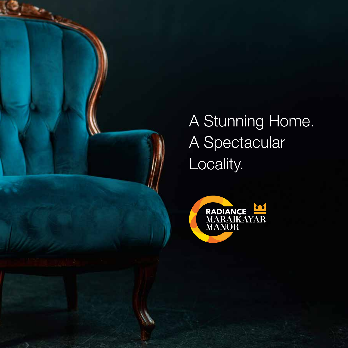

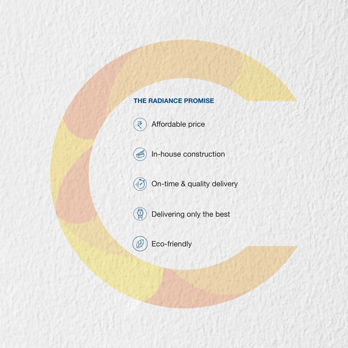# THE RADIANCE PROMISE



Affordable price

In-house construction  $\leq$ 



On-time & quality delivery



Delivering only the best



Eco-friendly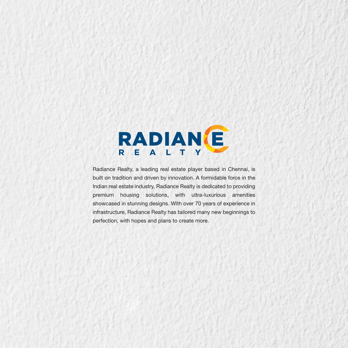

Radiance Realty, a leading real estate player based in Chennai, is built on tradition and driven by innovation. A formidable force in the Indian real estate industry, Radiance Realty is dedicated to providing premium housing solutions, with ultra-luxurious amenities showcased in stunning designs. With over 70 years of experience in infrastructure, Radiance Realty has tailored many new beginnings to perfection, with hopes and plans to create more.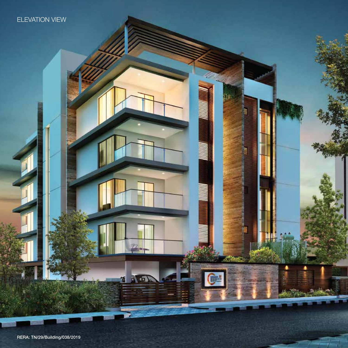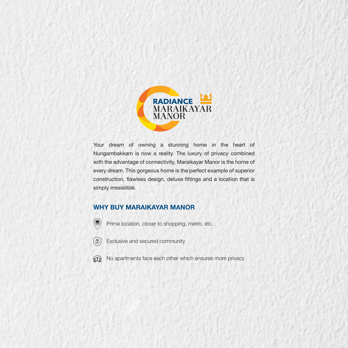

Your dream of owning a stunning home in the heart of Nungambakkam is now a reality. The luxury of privacy combined with the advantage of connectivity, Maraikayar Manor is the home of every dream. This gorgeous home is the perfect example of superior construction, flawless design, deluxe fittings and a location that is simply irresistible.

### WHY BUY MARAIKAYAR MANOR

- Prime location, closer to shopping, metro, etc.
- 4 Exclusive and secured community

 $\circledast$ 

No apartments face each other which ensures more privacy  $\mathbb{M}$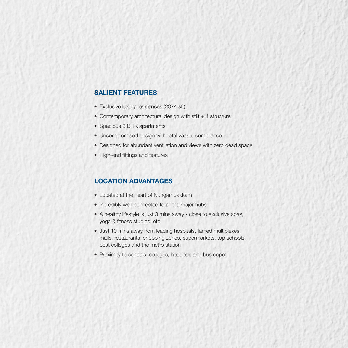### SALIENT FEATURES

- Exclusive luxury residences (2074 sft)
- Contemporary architectural design with stilt  $+4$  structure
- Spacious 3 BHK apartments
- Uncompromised design with total vaastu compliance
- Designed for abundant ventilation and views with zero dead space
- High-end fittings and features

## LOCATION ADVANTAGES

- Located at the heart of Nungambakkam
- Incredibly well-connected to all the major hubs
- A healthy lifestyle is just 3 mins away close to exclusive spas, yoga & fitness studios, etc.
- Just 10 mins away from leading hospitals, famed multiplexes, malls, restaurants, shopping zones, supermarkets, top schools, best colleges and the metro station
- Proximity to schools, colleges, hospitals and bus depot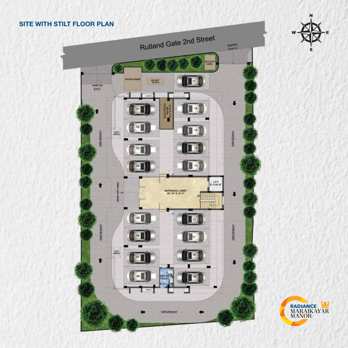



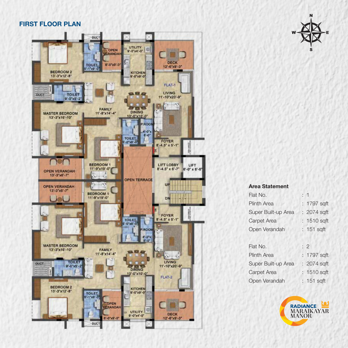### FIRST FLOOR PLAN





#### Area Statement

| Flat No.            | : 1          |
|---------------------|--------------|
| <b>Plinth Area</b>  | : 1797 sqft  |
| Super Built-up Area | : 2074 sqft  |
| Carpet Area         | : 1510 sqft  |
| Open Verandah       | : 151 sqft   |
|                     |              |
| Flat No.            | : 2          |
| <b>Plinth Area</b>  | : 1797 sqft  |
| Super Built-up Area | : 2074 sqft  |
| Carpet Area         | : 1510 sqft  |
| Open Verandah       | $: 151$ sqft |

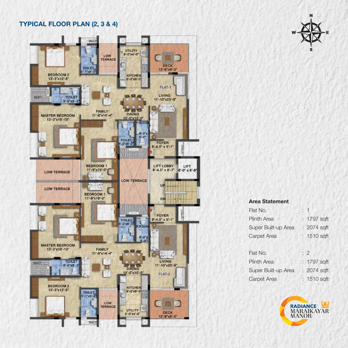# TYPICAL FLOOR PLAN (2, 3 & 4)





### Area Statement

| Flat No.            |             |
|---------------------|-------------|
| <b>Plinth Area</b>  | : 1797 sqft |
| Super Built-up Area | : 2074 sqft |
| Carpet Area         | : 1510 sqft |
|                     |             |
|                     |             |
| Flat No.            | : 2         |
| <b>Plinth Area</b>  | : 1797 sqft |
| Super Built-up Area | : 2074 sqft |

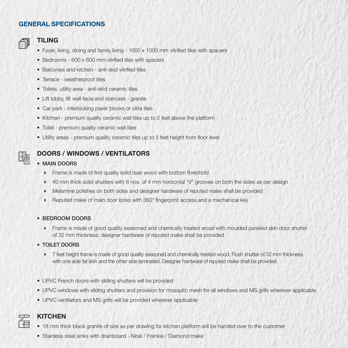## GENERAL SPECIFICATIONS



### TILING

- Foyer, living, dining and family living 1000 x 1000 mm vitried tiles with spacers
- Bedrooms 600 x 600 mm vitrified tiles with spacers
- Balconies and kitchen anti-skid vitrified tiles
- Terrace weatherproof tiles
- Toilets, utility area anti-skid ceramic tiles
- Lift lobby, lift wall facia and staircase granite
- Car park interlocking paver blocks or ultra tiles
- Kitchen premium quality ceramic wall tiles up to 2 feet above the platform
- Toilet premium quality ceramic wall tiles
- Utility areas premium quality ceramic tiles up to 5 feet height from floor level

# DOORS / WINDOWS / VENTILATORS

### • MAIN DOORS

- $\triangleright$  Frame is made of first quality solid teak wood with bottom threshold
- ▶ 40 mm thick solid shutters with 6 nos. of 4 mm horizontal "V" grooves on both the sides as per design
- Melamine polishes on both sides and designer hardware of reputed make shall be provided
- **Reputed make of main door locks with 360° fingerprint access and a mechanical key**

### • BEDROOM DOORS

- Frame is made of good quality seasoned and chemically treated wood with moulded paneled skin door shutter of 32 mm thickness; designer hardware of reputed make shall be provided
- TOILET DOORS
	- ▶ 7 feet height frame is made of good quality seasoned and chemically treated wood. Flush shutter of 32 mm thickness with one side fat skin and the other side laminated. Designer hardware of reputed make shall be provided.
- UPVC French doors with sliding shutters will be provided
- UPVC windows with sliding shutters and provision for mosquito mesh for all windows and MS grills wherever applicable
- UPVC ventilators and MS grills will be provided wherever applicable



### **KITCHEN**

- 18 mm thick black granite of size as per drawing for kitchen platform will be handed over to the customer
- Stainless steel sinks with drainboard Nirali / Frankie / Diamond make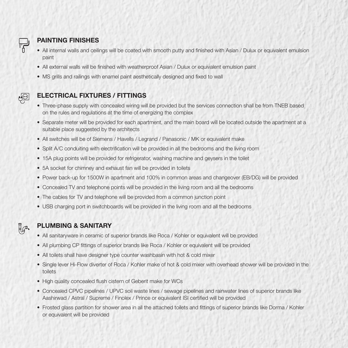

# PAINTING FINISHES

- All internal walls and ceilings will be coated with smooth putty and finished with Asian / Dulux or equivalent emulsion paint
- All external walls will be finished with weatherproof Asian / Dulux or equivalent emulsion paint
- MS grills and railings with enamel paint aesthetically designed and fixed to wall



# ELECTRICAL FIXTURES / FITTINGS

- Three-phase supply with concealed wiring will be provided but the services connection shall be from TNEB based on the rules and regulations at the time of energizing the complex
- Separate meter will be provided for each apartment, and the main board will be located outside the apartment at a suitable place suggested by the architects
- All switches will be of Siemens / Havells / Legrand / Panasonic / MK or equivalent make
- Split A/C conduiting with electrification will be provided in all the bedrooms and the living room
- 15A plug points will be provided for refrigerator, washing machine and geysers in the toilet
- 5A socket for chimney and exhaust fan will be provided in toilets
- Power back-up for 1500W in apartment and 100% in common areas and changeover (EB/DG) will be provided
- Concealed TV and telephone points will be provided in the living room and all the bedrooms
- The cables for TV and telephone will be provided from a common junction point
- USB charging port in switchboards will be provided in the living room and all the bedrooms



### PLUMBING & SANITARY

- All sanitaryware in ceramic of superior brands like Roca / Kohler or equivalent will be provided
- All plumbing CP fittings of superior brands like Roca / Kohler or equivalent will be provided
- All toilets shall have designer type counter washbasin with hot & cold mixer
- Single lever Hi-Flow diverter of Roca / Kohler make of hot & cold mixer with overhead shower will be provided in the toilets
- High quality concealed flush cistern of Geberit make for WCs
- Concealed CPVC pipelines / UPVC soil waste lines / sewage pipelines and rainwater lines of superior brands like Aashirwad / Astral / Supreme / Finolex / Prince or equivalent ISI certied will be provided
- Frosted glass partition for shower area in all the attached toilets and fittings of superior brands like Dorma / Kohler or equivalent will be provided